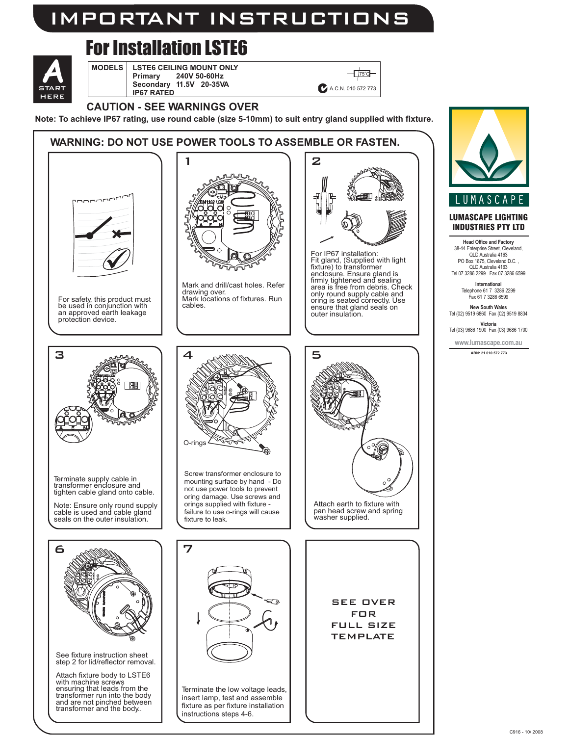### IMPORTANT INSTRUCTIONS

# For Installation LSTE6

START **A** HERE

#### **MODELS** | LSTE6 C **Primary 240V 50-60Hz Secondary 11.5V 20-35VA IP67 RATED LSTE6 CEILING MOUNT ONLY**



### **CAUTION - SEE WARNINGS OVER**

**Note: To achieve IP67 rating, use round cable (size 5-10mm) to suit entry gland supplied with fixture.**